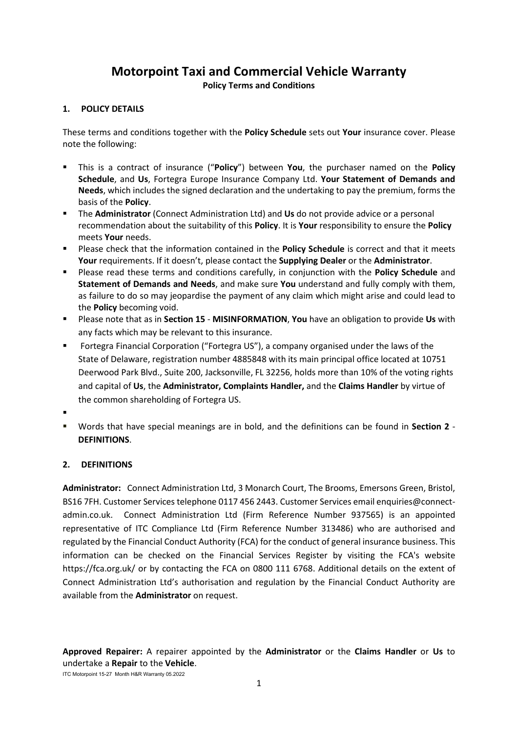# **Motorpoint Taxi and Commercial Vehicle Warranty**

**Policy Terms and Conditions**

# **1. POLICY DETAILS**

These terms and conditions together with the **Policy Schedule** sets out **Your** insurance cover. Please note the following:

- This is a contract of insurance ("**Policy**") between **You**, the purchaser named on the **Policy Schedule**, and **Us**, Fortegra Europe Insurance Company Ltd. **Your Statement of Demands and Needs**, which includes the signed declaration and the undertaking to pay the premium, forms the basis of the **Policy**.
- The **Administrator** (Connect Administration Ltd) and **Us** do not provide advice or a personal recommendation about the suitability of this **Policy**. It is **Your** responsibility to ensure the **Policy** meets **Your** needs.
- Please check that the information contained in the **Policy Schedule** is correct and that it meets **Your** requirements. If it doesn't, please contact the **Supplying Dealer** or the **Administrator**.
- Please read these terms and conditions carefully, in conjunction with the **Policy Schedule** and **Statement of Demands and Needs**, and make sure **You** understand and fully comply with them, as failure to do so may jeopardise the payment of any claim which might arise and could lead to the **Policy** becoming void.
- Please note that as in **Section 15 MISINFORMATION**, **You** have an obligation to provide **Us** with any facts which may be relevant to this insurance.
- Fortegra Financial Corporation ("Fortegra US"), a company organised under the laws of the State of Delaware, registration number 4885848 with its main principal office located at 10751 Deerwood Park Blvd., Suite 200, Jacksonville, FL 32256, holds more than 10% of the voting rights and capital of **Us**, the **Administrator, Complaints Handler,** and the **Claims Handler** by virtue of the common shareholding of Fortegra US.
- .
- Words that have special meanings are in bold, and the definitions can be found in **Section 2 DEFINITIONS**.

# **2. DEFINITIONS**

**Administrator:** Connect Administration Ltd, 3 Monarch Court, The Brooms, Emersons Green, Bristol, BS16 7FH. Customer Services telephone 0117 456 2443. Customer Services email enquiries@connectadmin.co.uk. Connect Administration Ltd (Firm Reference Number 937565) is an appointed representative of ITC Compliance Ltd (Firm Reference Number 313486) who are authorised and regulated by the Financial Conduct Authority (FCA) for the conduct of general insurance business. This information can be checked on the Financial Services Register by visiting the FCA's website https://fca.org.uk/ or by contacting the FCA on 0800 111 6768. Additional details on the extent of Connect Administration Ltd's authorisation and regulation by the Financial Conduct Authority are available from the **Administrator** on request.

**Approved Repairer:** A repairer appointed by the **Administrator** or the **Claims Handler** or **Us** to undertake a **Repair** to the **Vehicle**.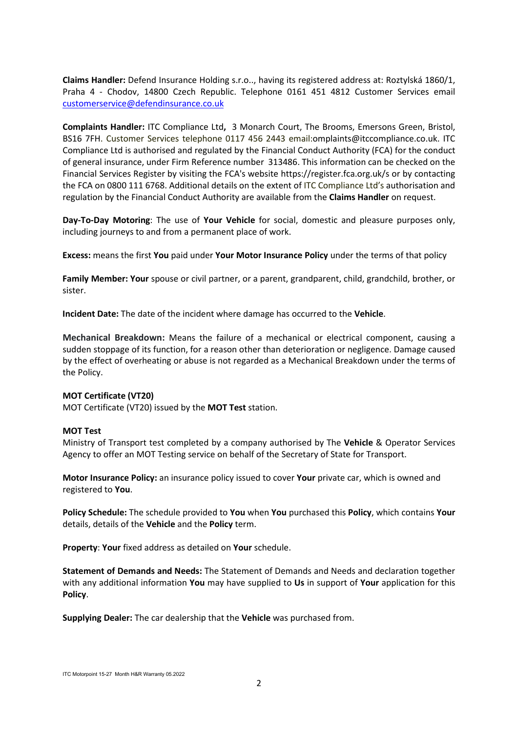**Claims Handler:** Defend Insurance Holding s.r.o.., having its registered address at: Roztylská 1860/1, Praha 4 - Chodov, 14800 Czech Republic. Telephone 0161 451 4812 Customer Services email [customerservice@defendinsurance.co.uk](mailto:customerservice@defendinsurance.co.uk)

**Complaints Handler:** ITC Compliance Ltd**,** 3 Monarch Court, The Brooms, Emersons Green, Bristol, BS16 7FH. Customer Services telephone 0117 456 2443 email:omplaints@itccompliance.co.uk. ITC Compliance Ltd is authorised and regulated by the Financial Conduct Authority (FCA) for the conduct of general insurance, under Firm Reference number 313486. This information can be checked on the Financial Services Register by visiting the FCA's website https://register.fca.org.uk/s or by contacting the FCA on 0800 111 6768. Additional details on the extent of ITC Compliance Ltd's authorisation and regulation by the Financial Conduct Authority are available from the **Claims Handler** on request.

**Day-To-Day Motoring**: The use of **Your Vehicle** for social, domestic and pleasure purposes only, including journeys to and from a permanent place of work.

**Excess:** means the first **You** paid under **Your Motor Insurance Policy** under the terms of that policy

**Family Member: Your** spouse or civil partner, or a parent, grandparent, child, grandchild, brother, or sister.

**Incident Date:** The date of the incident where damage has occurred to the **Vehicle**.

**Mechanical Breakdown:** Means the failure of a mechanical or electrical component, causing a sudden stoppage of its function, for a reason other than deterioration or negligence. Damage caused by the effect of overheating or abuse is not regarded as a Mechanical Breakdown under the terms of the Policy.

### **MOT Certificate (VT20)**

MOT Certificate (VT20) issued by the **MOT Test** station.

#### **MOT Test**

Ministry of Transport test completed by a company authorised by The **Vehicle** & Operator Services Agency to offer an MOT Testing service on behalf of the Secretary of State for Transport.

**Motor Insurance Policy:** an insurance policy issued to cover **Your** private car, which is owned and registered to **You**.

**Policy Schedule:** The schedule provided to **You** when **You** purchased this **Policy**, which contains **Your** details, details of the **Vehicle** and the **Policy** term.

**Property**: **Your** fixed address as detailed on **Your** schedule.

**Statement of Demands and Needs:** The Statement of Demands and Needs and declaration together with any additional information **You** may have supplied to **Us** in support of **Your** application for this **Policy**.

**Supplying Dealer:** The car dealership that the **Vehicle** was purchased from.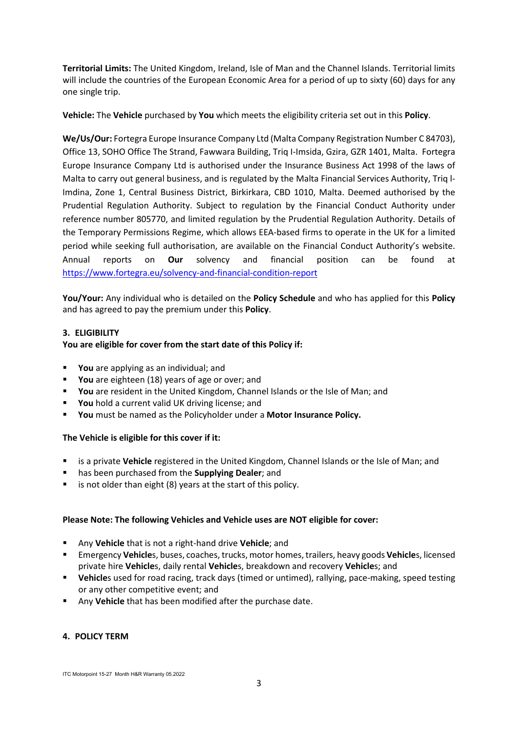**Territorial Limits:** The United Kingdom, Ireland, Isle of Man and the Channel Islands. Territorial limits will include the countries of the European Economic Area for a period of up to sixty (60) days for any one single trip.

**Vehicle:** The **Vehicle** purchased by **You** which meets the eligibility criteria set out in this **Policy**.

**We/Us/Our:** Fortegra Europe Insurance Company Ltd (Malta Company Registration Number C 84703), Office 13, SOHO Office The Strand, Fawwara Building, Triq I-Imsida, Gzira, GZR 1401, Malta. Fortegra Europe Insurance Company Ltd is authorised under the Insurance Business Act 1998 of the laws of Malta to carry out general business, and is regulated by the Malta Financial Services Authority, Triq l-Imdina, Zone 1, Central Business District, Birkirkara, CBD 1010, Malta. Deemed authorised by the Prudential Regulation Authority. Subject to regulation by the Financial Conduct Authority under reference number 805770, and limited regulation by the Prudential Regulation Authority. Details of the Temporary Permissions Regime, which allows EEA-based firms to operate in the UK for a limited period while seeking full authorisation, are available on the Financial Conduct Authority's website. Annual reports on **Our** solvency and financial position can be found at <https://www.fortegra.eu/solvency-and-financial-condition-report>

**You/Your:** Any individual who is detailed on the **Policy Schedule** and who has applied for this **Policy** and has agreed to pay the premium under this **Policy**.

### **3. ELIGIBILITY**

### **You are eligible for cover from the start date of this Policy if:**

- **You** are applying as an individual; and
- **You** are eighteen (18) years of age or over; and
- **You** are resident in the United Kingdom, Channel Islands or the Isle of Man; and
- You hold a current valid UK driving license; and
- **You** must be named as the Policyholder under a **Motor Insurance Policy.**

### **The Vehicle is eligible for this cover if it:**

- is a private **Vehicle** registered in the United Kingdom, Channel Islands or the Isle of Man; and
- has been purchased from the **Supplying Dealer**; and
- is not older than eight (8) years at the start of this policy.

### **Please Note: The following Vehicles and Vehicle uses are NOT eligible for cover:**

- Any **Vehicle** that is not a right-hand drive **Vehicle**; and
- Emergency **Vehicle**s, buses, coaches, trucks, motor homes, trailers, heavy goods **Vehicle**s, licensed private hire **Vehicle**s, daily rental **Vehicle**s, breakdown and recovery **Vehicle**s; and
- **Vehicle**s used for road racing, track days (timed or untimed), rallying, pace-making, speed testing or any other competitive event; and
- Any **Vehicle** that has been modified after the purchase date.

### **4. POLICY TERM**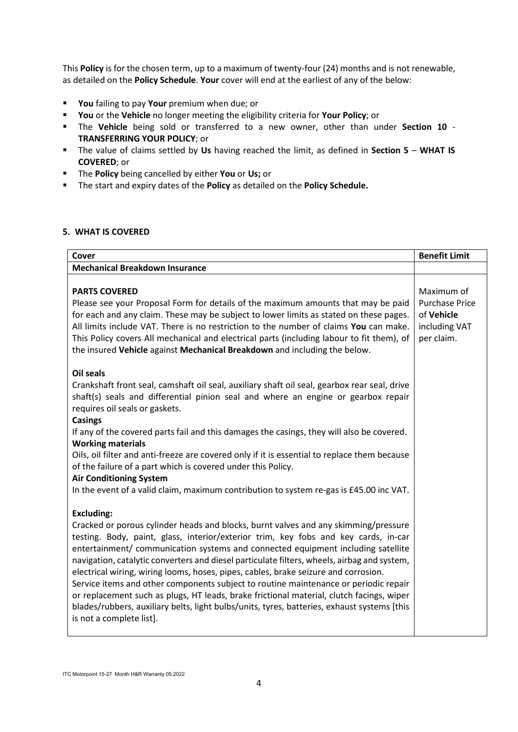This **Policy** is for the chosen term, up to a maximum of twenty-four (24) months and is not renewable, as detailed on the **Policy Schedule**. **Your** cover will end at the earliest of any of the below:

- **You** failing to pay **Your** premium when due; or
- **You** or the **Vehicle** no longer meeting the eligibility criteria for **Your Policy**; or
- The **Vehicle** being sold or transferred to a new owner, other than under **Section 10 TRANSFERRING YOUR POLICY**; or
- The value of claims settled by **Us** having reached the limit, as defined in **Section 5 WHAT IS COVERED**; or
- The **Policy** being cancelled by either **You** or **Us;** or
- The start and expiry dates of the **Policy** as detailed on the **Policy Schedule.**

#### **5. WHAT IS COVERED**

| Cover                                                                                                                                                                                                                                                                                                                                                                                                                                                                                                                                                                                                                                                                                                                                                                                    | <b>Benefit Limit</b>                                                             |
|------------------------------------------------------------------------------------------------------------------------------------------------------------------------------------------------------------------------------------------------------------------------------------------------------------------------------------------------------------------------------------------------------------------------------------------------------------------------------------------------------------------------------------------------------------------------------------------------------------------------------------------------------------------------------------------------------------------------------------------------------------------------------------------|----------------------------------------------------------------------------------|
| <b>Mechanical Breakdown Insurance</b>                                                                                                                                                                                                                                                                                                                                                                                                                                                                                                                                                                                                                                                                                                                                                    |                                                                                  |
| <b>PARTS COVERED</b><br>Please see your Proposal Form for details of the maximum amounts that may be paid<br>for each and any claim. These may be subject to lower limits as stated on these pages.<br>All limits include VAT. There is no restriction to the number of claims You can make.<br>This Policy covers All mechanical and electrical parts (including labour to fit them), of<br>the insured Vehicle against Mechanical Breakdown and including the below.                                                                                                                                                                                                                                                                                                                   | Maximum of<br><b>Purchase Price</b><br>of Vehicle<br>including VAT<br>per claim. |
| <b>Oil seals</b><br>Crankshaft front seal, camshaft oil seal, auxiliary shaft oil seal, gearbox rear seal, drive<br>shaft(s) seals and differential pinion seal and where an engine or gearbox repair<br>requires oil seals or gaskets.<br><b>Casings</b>                                                                                                                                                                                                                                                                                                                                                                                                                                                                                                                                |                                                                                  |
| If any of the covered parts fail and this damages the casings, they will also be covered.<br><b>Working materials</b><br>Oils, oil filter and anti-freeze are covered only if it is essential to replace them because                                                                                                                                                                                                                                                                                                                                                                                                                                                                                                                                                                    |                                                                                  |
| of the failure of a part which is covered under this Policy.<br><b>Air Conditioning System</b><br>In the event of a valid claim, maximum contribution to system re-gas is £45.00 inc VAT.                                                                                                                                                                                                                                                                                                                                                                                                                                                                                                                                                                                                |                                                                                  |
| <b>Excluding:</b><br>Cracked or porous cylinder heads and blocks, burnt valves and any skimming/pressure<br>testing. Body, paint, glass, interior/exterior trim, key fobs and key cards, in-car<br>entertainment/ communication systems and connected equipment including satellite<br>navigation, catalytic converters and diesel particulate filters, wheels, airbag and system,<br>electrical wiring, wiring looms, hoses, pipes, cables, brake seizure and corrosion.<br>Service items and other components subject to routine maintenance or periodic repair<br>or replacement such as plugs, HT leads, brake frictional material, clutch facings, wiper<br>blades/rubbers, auxiliary belts, light bulbs/units, tyres, batteries, exhaust systems [this<br>is not a complete list]. |                                                                                  |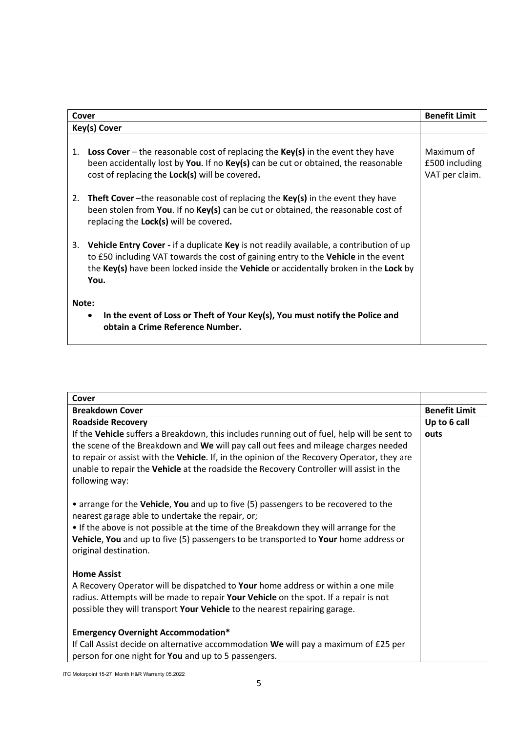| Cover                                                                                                                          | <b>Benefit Limit</b>                                                                                                                                                                                                                                                          |                                                |
|--------------------------------------------------------------------------------------------------------------------------------|-------------------------------------------------------------------------------------------------------------------------------------------------------------------------------------------------------------------------------------------------------------------------------|------------------------------------------------|
|                                                                                                                                | Key(s) Cover                                                                                                                                                                                                                                                                  |                                                |
| 1.                                                                                                                             | <b>Loss Cover</b> – the reasonable cost of replacing the $Key(s)$ in the event they have<br>been accidentally lost by You. If no Key(s) can be cut or obtained, the reasonable<br>cost of replacing the Lock(s) will be covered.                                              | Maximum of<br>£500 including<br>VAT per claim. |
| 2.                                                                                                                             | <b>Theft Cover</b> –the reasonable cost of replacing the $Key(s)$ in the event they have<br>been stolen from You. If no Key(s) can be cut or obtained, the reasonable cost of<br>replacing the Lock(s) will be covered.                                                       |                                                |
| 3.                                                                                                                             | Vehicle Entry Cover - if a duplicate Key is not readily available, a contribution of up<br>to £50 including VAT towards the cost of gaining entry to the Vehicle in the event<br>the Key(s) have been locked inside the Vehicle or accidentally broken in the Lock by<br>You. |                                                |
| Note:<br>In the event of Loss or Theft of Your Key(s), You must notify the Police and<br>٠<br>obtain a Crime Reference Number. |                                                                                                                                                                                                                                                                               |                                                |

| Cover                                                                                                                                                                                                                                                                                                                                                                                          |                      |
|------------------------------------------------------------------------------------------------------------------------------------------------------------------------------------------------------------------------------------------------------------------------------------------------------------------------------------------------------------------------------------------------|----------------------|
| <b>Breakdown Cover</b>                                                                                                                                                                                                                                                                                                                                                                         | <b>Benefit Limit</b> |
| <b>Roadside Recovery</b>                                                                                                                                                                                                                                                                                                                                                                       | Up to 6 call         |
| If the Vehicle suffers a Breakdown, this includes running out of fuel, help will be sent to<br>the scene of the Breakdown and We will pay call out fees and mileage charges needed<br>to repair or assist with the Vehicle. If, in the opinion of the Recovery Operator, they are<br>unable to repair the Vehicle at the roadside the Recovery Controller will assist in the<br>following way: | outs                 |
| • arrange for the Vehicle, You and up to five (5) passengers to be recovered to the<br>nearest garage able to undertake the repair, or;<br>• If the above is not possible at the time of the Breakdown they will arrange for the<br>Vehicle, You and up to five (5) passengers to be transported to Your home address or<br>original destination.                                              |                      |
| <b>Home Assist</b><br>A Recovery Operator will be dispatched to Your home address or within a one mile<br>radius. Attempts will be made to repair Your Vehicle on the spot. If a repair is not<br>possible they will transport Your Vehicle to the nearest repairing garage.                                                                                                                   |                      |
| <b>Emergency Overnight Accommodation*</b><br>If Call Assist decide on alternative accommodation We will pay a maximum of £25 per<br>person for one night for You and up to 5 passengers.                                                                                                                                                                                                       |                      |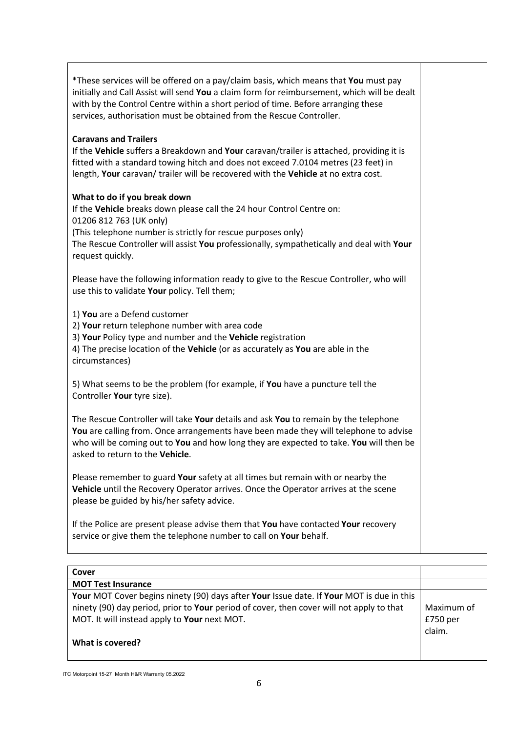| *These services will be offered on a pay/claim basis, which means that You must pay<br>initially and Call Assist will send You a claim form for reimbursement, which will be dealt<br>with by the Control Centre within a short period of time. Before arranging these<br>services, authorisation must be obtained from the Rescue Controller. |  |
|------------------------------------------------------------------------------------------------------------------------------------------------------------------------------------------------------------------------------------------------------------------------------------------------------------------------------------------------|--|
| <b>Caravans and Trailers</b><br>If the Vehicle suffers a Breakdown and Your caravan/trailer is attached, providing it is<br>fitted with a standard towing hitch and does not exceed 7.0104 metres (23 feet) in<br>length, Your caravan/ trailer will be recovered with the Vehicle at no extra cost.                                           |  |
| What to do if you break down<br>If the Vehicle breaks down please call the 24 hour Control Centre on:<br>01206 812 763 (UK only)<br>(This telephone number is strictly for rescue purposes only)<br>The Rescue Controller will assist You professionally, sympathetically and deal with Your<br>request quickly.                               |  |
| Please have the following information ready to give to the Rescue Controller, who will<br>use this to validate Your policy. Tell them;                                                                                                                                                                                                         |  |
| 1) You are a Defend customer<br>2) Your return telephone number with area code<br>3) Your Policy type and number and the Vehicle registration<br>4) The precise location of the Vehicle (or as accurately as You are able in the<br>circumstances)                                                                                             |  |
| 5) What seems to be the problem (for example, if You have a puncture tell the<br>Controller Your tyre size).                                                                                                                                                                                                                                   |  |
| The Rescue Controller will take Your details and ask You to remain by the telephone<br>You are calling from. Once arrangements have been made they will telephone to advise<br>who will be coming out to You and how long they are expected to take. You will then be<br>asked to return to the Vehicle.                                       |  |
| Please remember to guard Your safety at all times but remain with or nearby the<br>Vehicle until the Recovery Operator arrives. Once the Operator arrives at the scene<br>please be guided by his/her safety advice.                                                                                                                           |  |
| If the Police are present please advise them that You have contacted Your recovery<br>service or give them the telephone number to call on Your behalf.                                                                                                                                                                                        |  |

| Cover                                                                                    |            |
|------------------------------------------------------------------------------------------|------------|
| <b>MOT Test Insurance</b>                                                                |            |
| Your MOT Cover begins ninety (90) days after Your Issue date. If Your MOT is due in this |            |
| ninety (90) day period, prior to Your period of cover, then cover will not apply to that | Maximum of |
| MOT. It will instead apply to Your next MOT.                                             | $£750$ per |
|                                                                                          | claim.     |
| What is covered?                                                                         |            |
|                                                                                          |            |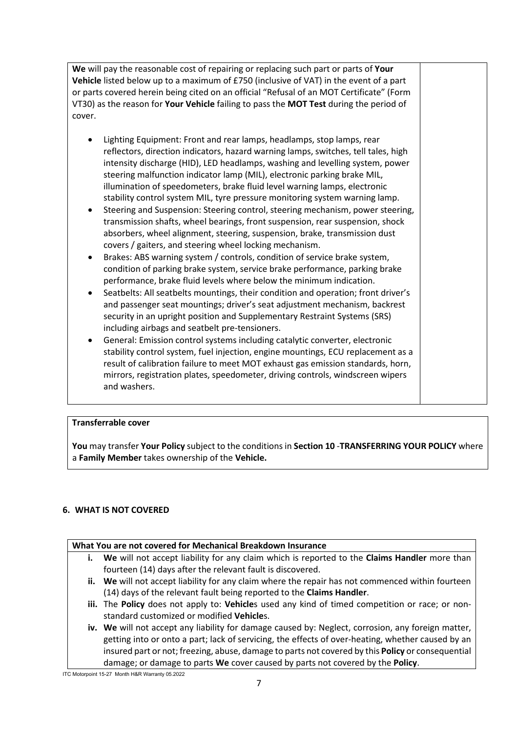**We** will pay the reasonable cost of repairing or replacing such part or parts of **Your Vehicle** listed below up to a maximum of £750 (inclusive of VAT) in the event of a part or parts covered herein being cited on an official "Refusal of an MOT Certificate" (Form VT30) as the reason for **Your Vehicle** failing to pass the **MOT Test** during the period of cover.

- Lighting Equipment: Front and rear lamps, headlamps, stop lamps, rear reflectors, direction indicators, hazard warning lamps, switches, tell tales, high intensity discharge (HID), LED headlamps, washing and levelling system, power steering malfunction indicator lamp (MIL), electronic parking brake MIL, illumination of speedometers, brake fluid level warning lamps, electronic stability control system MIL, tyre pressure monitoring system warning lamp.
- Steering and Suspension: Steering control, steering mechanism, power steering, transmission shafts, wheel bearings, front suspension, rear suspension, shock absorbers, wheel alignment, steering, suspension, brake, transmission dust covers / gaiters, and steering wheel locking mechanism.
- Brakes: ABS warning system / controls, condition of service brake system, condition of parking brake system, service brake performance, parking brake performance, brake fluid levels where below the minimum indication.
- Seatbelts: All seatbelts mountings, their condition and operation; front driver's and passenger seat mountings; driver's seat adjustment mechanism, backrest security in an upright position and Supplementary Restraint Systems (SRS) including airbags and seatbelt pre-tensioners.
- General: Emission control systems including catalytic converter, electronic stability control system, fuel injection, engine mountings, ECU replacement as a result of calibration failure to meet MOT exhaust gas emission standards, horn, mirrors, registration plates, speedometer, driving controls, windscreen wipers and washers.

# **Transferrable cover**

**You** may transfer **Your Policy** subject to the conditions in **Section 10** -**TRANSFERRING YOUR POLICY** where a **Family Member** takes ownership of the **Vehicle.**

# **6. WHAT IS NOT COVERED**

# **What You are not covered for Mechanical Breakdown Insurance**

- **i. We** will not accept liability for any claim which is reported to the **Claims Handler** more than fourteen (14) days after the relevant fault is discovered.
- **ii. We** will not accept liability for any claim where the repair has not commenced within fourteen (14) days of the relevant fault being reported to the **Claims Handler**.
- **iii.** The **Policy** does not apply to: **Vehicle**s used any kind of timed competition or race; or nonstandard customized or modified **Vehicle**s.
- **iv. We** will not accept any liability for damage caused by: Neglect, corrosion, any foreign matter, getting into or onto a part; lack of servicing, the effects of over-heating, whether caused by an insured part or not; freezing, abuse, damage to parts not covered by this **Policy** or consequential damage; or damage to parts **We** cover caused by parts not covered by the **Policy**.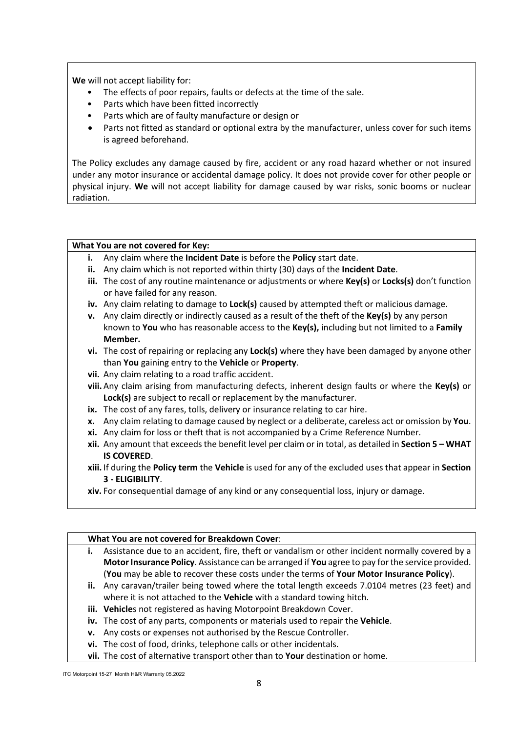**We** will not accept liability for:

- The effects of poor repairs, faults or defects at the time of the sale.
- Parts which have been fitted incorrectly
- Parts which are of faulty manufacture or design or
- Parts not fitted as standard or optional extra by the manufacturer, unless cover for such items is agreed beforehand.

The Policy excludes any damage caused by fire, accident or any road hazard whether or not insured under any motor insurance or accidental damage policy. It does not provide cover for other people or physical injury. **We** will not accept liability for damage caused by war risks, sonic booms or nuclear radiation.

### **What You are not covered for Key:**

- **i.** Any claim where the **Incident Date** is before the **Policy** start date.
- **ii.** Any claim which is not reported within thirty (30) days of the **Incident Date**.
- **iii.** The cost of any routine maintenance or adjustments or where **Key(s)** or **Locks(s)** don't function or have failed for any reason.
- **iv.** Any claim relating to damage to **Lock(s)** caused by attempted theft or malicious damage.
- **v.** Any claim directly or indirectly caused as a result of the theft of the **Key(s)** by any person known to **You** who has reasonable access to the **Key(s),** including but not limited to a **Family Member.**
- **vi.** The cost of repairing or replacing any **Lock(s)** where they have been damaged by anyone other than **You** gaining entry to the **Vehicle** or **Property**.
- **vii.** Any claim relating to a road traffic accident.
- **viii.** Any claim arising from manufacturing defects, inherent design faults or where the **Key(s)** or **Lock(s)** are subject to recall or replacement by the manufacturer.
- **ix.** The cost of any fares, tolls, delivery or insurance relating to car hire.
- **x.** Any claim relating to damage caused by neglect or a deliberate, careless act or omission by **You**.
- **xi.** Any claim for loss or theft that is not accompanied by a Crime Reference Number.
- **xii.** Any amount that exceeds the benefit level per claim or in total, as detailed in **Section 5 – WHAT IS COVERED**.
- **xiii.** If during the **Policy term** the **Vehicle** is used for any of the excluded uses that appear in **Section 3 - ELIGIBILITY**.
- **xiv.** For consequential damage of any kind or any consequential loss, injury or damage.

### **What You are not covered for Breakdown Cover**:

- **i.** Assistance due to an accident, fire, theft or vandalism or other incident normally covered by a **Motor Insurance Policy**. Assistance can be arranged if **You** agree to pay for the service provided. (**You** may be able to recover these costs under the terms of **Your Motor Insurance Policy**).
- **ii.** Any caravan/trailer being towed where the total length exceeds 7.0104 metres (23 feet) and where it is not attached to the **Vehicle** with a standard towing hitch.
- **iii. Vehicle**s not registered as having Motorpoint Breakdown Cover.
- **iv.** The cost of any parts, components or materials used to repair the **Vehicle**.
- **v.** Any costs or expenses not authorised by the Rescue Controller.
- **vi.** The cost of food, drinks, telephone calls or other incidentals.
- **vii.** The cost of alternative transport other than to **Your** destination or home.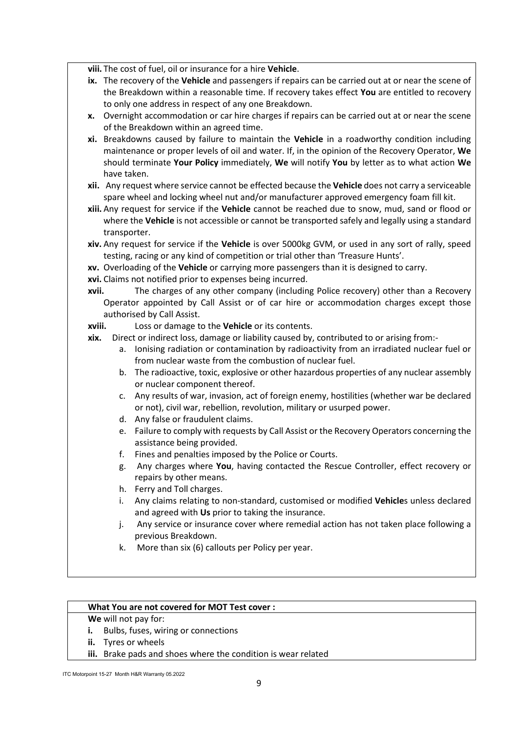**viii.** The cost of fuel, oil or insurance for a hire **Vehicle**.

- **ix.** The recovery of the **Vehicle** and passengers if repairs can be carried out at or near the scene of the Breakdown within a reasonable time. If recovery takes effect **You** are entitled to recovery to only one address in respect of any one Breakdown.
- **x.** Overnight accommodation or car hire charges if repairs can be carried out at or near the scene of the Breakdown within an agreed time.
- **xi.** Breakdowns caused by failure to maintain the **Vehicle** in a roadworthy condition including maintenance or proper levels of oil and water. If, in the opinion of the Recovery Operator, **We** should terminate **Your Policy** immediately, **We** will notify **You** by letter as to what action **We** have taken.
- **xii.** Any request where service cannot be effected because the **Vehicle** does not carry a serviceable spare wheel and locking wheel nut and/or manufacturer approved emergency foam fill kit.
- **xiii.** Any request for service if the **Vehicle** cannot be reached due to snow, mud, sand or flood or where the **Vehicle** is not accessible or cannot be transported safely and legally using a standard transporter.
- **xiv.** Any request for service if the **Vehicle** is over 5000kg GVM, or used in any sort of rally, speed testing, racing or any kind of competition or trial other than 'Treasure Hunts'.
- **xv.** Overloading of the **Vehicle** or carrying more passengers than it is designed to carry.
- **xvi.** Claims not notified prior to expenses being incurred.
- **xvii.** The charges of any other company (including Police recovery) other than a Recovery Operator appointed by Call Assist or of car hire or accommodation charges except those authorised by Call Assist.
- **xviii.** Loss or damage to the **Vehicle** or its contents.
- **xix.** Direct or indirect loss, damage or liability caused by, contributed to or arising from:
	- a. Ionising radiation or contamination by radioactivity from an irradiated nuclear fuel or from nuclear waste from the combustion of nuclear fuel.
	- b. The radioactive, toxic, explosive or other hazardous properties of any nuclear assembly or nuclear component thereof.
	- c. Any results of war, invasion, act of foreign enemy, hostilities (whether war be declared or not), civil war, rebellion, revolution, military or usurped power.
	- d. Any false or fraudulent claims.
	- e. Failure to comply with requests by Call Assist or the Recovery Operators concerning the assistance being provided.
	- f. Fines and penalties imposed by the Police or Courts.
	- g. Any charges where **You**, having contacted the Rescue Controller, effect recovery or repairs by other means.
	- h. Ferry and Toll charges.
	- i. Any claims relating to non-standard, customised or modified **Vehicle**s unless declared and agreed with **Us** prior to taking the insurance.
	- j. Any service or insurance cover where remedial action has not taken place following a previous Breakdown.
	- k. More than six (6) callouts per Policy per year.

### **What You are not covered for MOT Test cover :**

**We** will not pay for:

- **i.** Bulbs, fuses, wiring or connections
- **ii.** Tyres or wheels
- **iii.** Brake pads and shoes where the condition is wear related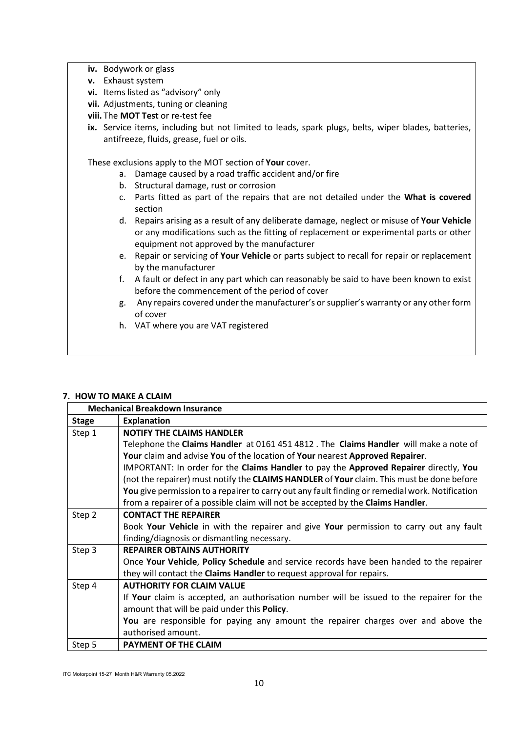- **iv.** Bodywork or glass
- **v.** Exhaust system
- **vi.** Items listed as "advisory" only
- **vii.** Adjustments, tuning or cleaning
- **viii.** The **MOT Test** or re-test fee
- ix. Service items, including but not limited to leads, spark plugs, belts, wiper blades, batteries, antifreeze, fluids, grease, fuel or oils.

These exclusions apply to the MOT section of **Your** cover.

- a. Damage caused by a road traffic accident and/or fire
- b. Structural damage, rust or corrosion
- c. Parts fitted as part of the repairs that are not detailed under the **What is covered** section
- d. Repairs arising as a result of any deliberate damage, neglect or misuse of **Your Vehicle** or any modifications such as the fitting of replacement or experimental parts or other equipment not approved by the manufacturer
- e. Repair or servicing of **Your Vehicle** or parts subject to recall for repair or replacement by the manufacturer
- f. A fault or defect in any part which can reasonably be said to have been known to exist before the commencement of the period of cover
- g. Any repairs covered under the manufacturer's or supplier's warranty or any other form of cover
- h. VAT where you are VAT registered

### **7. HOW TO MAKE A CLAIM**

| <b>Mechanical Breakdown Insurance</b> |                                                                                                 |
|---------------------------------------|-------------------------------------------------------------------------------------------------|
| <b>Stage</b>                          | <b>Explanation</b>                                                                              |
| Step 1                                | <b>NOTIFY THE CLAIMS HANDLER</b>                                                                |
|                                       | Telephone the Claims Handler at 0161 451 4812. The Claims Handler will make a note of           |
|                                       | Your claim and advise You of the location of Your nearest Approved Repairer.                    |
|                                       | IMPORTANT: In order for the Claims Handler to pay the Approved Repairer directly, You           |
|                                       | (not the repairer) must notify the CLAIMS HANDLER of Your claim. This must be done before       |
|                                       | You give permission to a repairer to carry out any fault finding or remedial work. Notification |
|                                       | from a repairer of a possible claim will not be accepted by the Claims Handler.                 |
| Step 2                                | <b>CONTACT THE REPAIRER</b>                                                                     |
|                                       | Book Your Vehicle in with the repairer and give Your permission to carry out any fault          |
|                                       | finding/diagnosis or dismantling necessary.                                                     |
| Step 3                                | <b>REPAIRER OBTAINS AUTHORITY</b>                                                               |
|                                       | Once Your Vehicle, Policy Schedule and service records have been handed to the repairer         |
|                                       | they will contact the <b>Claims Handler</b> to request approval for repairs.                    |
| Step 4                                | <b>AUTHORITY FOR CLAIM VALUE</b>                                                                |
|                                       | If Your claim is accepted, an authorisation number will be issued to the repairer for the       |
|                                       | amount that will be paid under this Policy.                                                     |
|                                       | You are responsible for paying any amount the repairer charges over and above the               |
|                                       | authorised amount.                                                                              |
| Step 5                                | <b>PAYMENT OF THE CLAIM</b>                                                                     |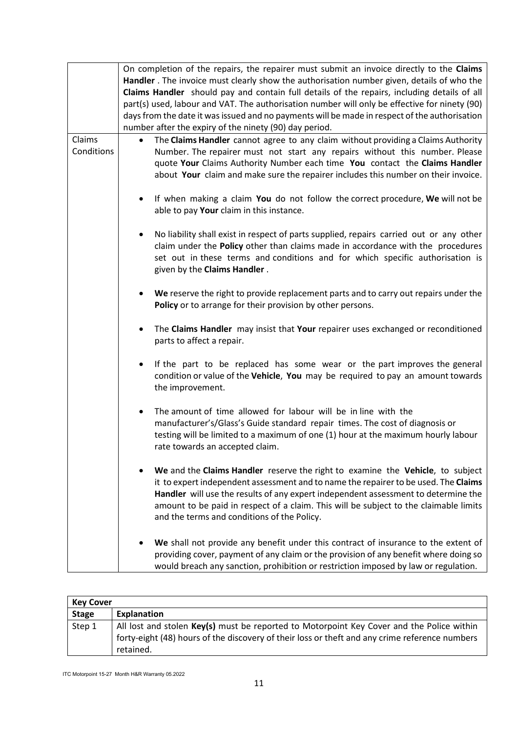|            | On completion of the repairs, the repairer must submit an invoice directly to the Claims                                                                                                                                                                                                                                                                                                            |
|------------|-----------------------------------------------------------------------------------------------------------------------------------------------------------------------------------------------------------------------------------------------------------------------------------------------------------------------------------------------------------------------------------------------------|
|            | Handler . The invoice must clearly show the authorisation number given, details of who the                                                                                                                                                                                                                                                                                                          |
|            | Claims Handler should pay and contain full details of the repairs, including details of all<br>part(s) used, labour and VAT. The authorisation number will only be effective for ninety (90)                                                                                                                                                                                                        |
|            | days from the date it was issued and no payments will be made in respect of the authorisation                                                                                                                                                                                                                                                                                                       |
|            | number after the expiry of the ninety (90) day period.                                                                                                                                                                                                                                                                                                                                              |
| Claims     | The Claims Handler cannot agree to any claim without providing a Claims Authority<br>$\bullet$                                                                                                                                                                                                                                                                                                      |
| Conditions | Number. The repairer must not start any repairs without this number. Please<br>quote Your Claims Authority Number each time You contact the Claims Handler<br>about Your claim and make sure the repairer includes this number on their invoice.                                                                                                                                                    |
|            | If when making a claim You do not follow the correct procedure, We will not be<br>٠<br>able to pay Your claim in this instance.                                                                                                                                                                                                                                                                     |
|            | No liability shall exist in respect of parts supplied, repairs carried out or any other<br>claim under the Policy other than claims made in accordance with the procedures<br>set out in these terms and conditions and for which specific authorisation is<br>given by the Claims Handler.                                                                                                         |
|            | We reserve the right to provide replacement parts and to carry out repairs under the<br>Policy or to arrange for their provision by other persons.                                                                                                                                                                                                                                                  |
|            | The Claims Handler may insist that Your repairer uses exchanged or reconditioned<br>٠<br>parts to affect a repair.                                                                                                                                                                                                                                                                                  |
|            | If the part to be replaced has some wear or the part improves the general<br>condition or value of the Vehicle, You may be required to pay an amount towards<br>the improvement.                                                                                                                                                                                                                    |
|            | The amount of time allowed for labour will be in line with the<br>٠<br>manufacturer's/Glass's Guide standard repair times. The cost of diagnosis or<br>testing will be limited to a maximum of one (1) hour at the maximum hourly labour<br>rate towards an accepted claim.                                                                                                                         |
|            | We and the Claims Handler reserve the right to examine the Vehicle, to subject<br>it to expert independent assessment and to name the repairer to be used. The Claims<br>Handler will use the results of any expert independent assessment to determine the<br>amount to be paid in respect of a claim. This will be subject to the claimable limits<br>and the terms and conditions of the Policy. |
|            | We shall not provide any benefit under this contract of insurance to the extent of<br>providing cover, payment of any claim or the provision of any benefit where doing so<br>would breach any sanction, prohibition or restriction imposed by law or regulation.                                                                                                                                   |

| <b>Key Cover</b> |                                                                                                                                                                                                            |
|------------------|------------------------------------------------------------------------------------------------------------------------------------------------------------------------------------------------------------|
| <b>Stage</b>     | Explanation                                                                                                                                                                                                |
| Step 1           | All lost and stolen $Key(s)$ must be reported to Motorpoint Key Cover and the Police within<br>forty-eight (48) hours of the discovery of their loss or theft and any crime reference numbers<br>retained. |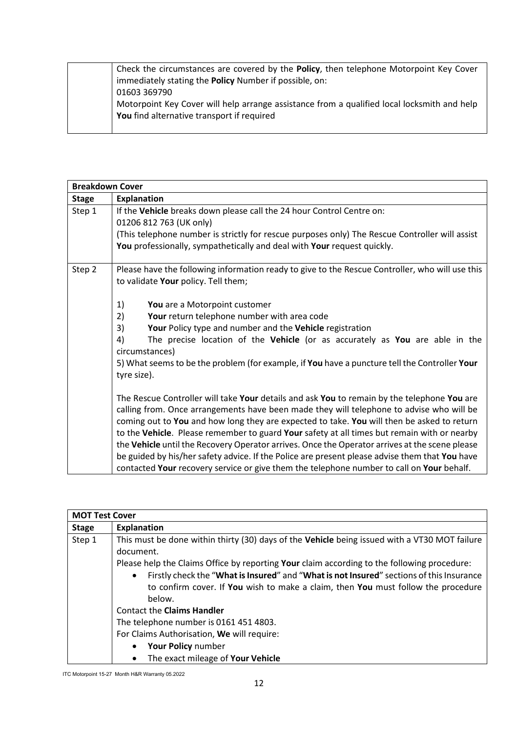| Check the circumstances are covered by the Policy, then telephone Motorpoint Key Cover      |
|---------------------------------------------------------------------------------------------|
| immediately stating the <b>Policy</b> Number if possible, on:                               |
| 01603 369790                                                                                |
| Motorpoint Key Cover will help arrange assistance from a qualified local locksmith and help |
| You find alternative transport if required                                                  |
|                                                                                             |

| <b>Breakdown Cover</b> |                                                                                                                                                                                                                                                                                                                                                                                                                                                                                        |
|------------------------|----------------------------------------------------------------------------------------------------------------------------------------------------------------------------------------------------------------------------------------------------------------------------------------------------------------------------------------------------------------------------------------------------------------------------------------------------------------------------------------|
| <b>Stage</b>           | <b>Explanation</b>                                                                                                                                                                                                                                                                                                                                                                                                                                                                     |
| Step 1                 | If the Vehicle breaks down please call the 24 hour Control Centre on:<br>01206 812 763 (UK only)<br>(This telephone number is strictly for rescue purposes only) The Rescue Controller will assist<br>You professionally, sympathetically and deal with Your request quickly.                                                                                                                                                                                                          |
| Step 2                 | Please have the following information ready to give to the Rescue Controller, who will use this<br>to validate Your policy. Tell them;<br>1)<br>You are a Motorpoint customer                                                                                                                                                                                                                                                                                                          |
|                        | 2)<br>Your return telephone number with area code                                                                                                                                                                                                                                                                                                                                                                                                                                      |
|                        | 3)<br>Your Policy type and number and the Vehicle registration                                                                                                                                                                                                                                                                                                                                                                                                                         |
|                        | The precise location of the Vehicle (or as accurately as You are able in the<br>4)<br>circumstances)                                                                                                                                                                                                                                                                                                                                                                                   |
|                        | 5) What seems to be the problem (for example, if You have a puncture tell the Controller Your<br>tyre size).                                                                                                                                                                                                                                                                                                                                                                           |
|                        | The Rescue Controller will take Your details and ask You to remain by the telephone You are<br>calling from. Once arrangements have been made they will telephone to advise who will be<br>coming out to You and how long they are expected to take. You will then be asked to return<br>to the Vehicle. Please remember to guard Your safety at all times but remain with or nearby<br>the Vehicle until the Recovery Operator arrives. Once the Operator arrives at the scene please |
|                        | be guided by his/her safety advice. If the Police are present please advise them that You have                                                                                                                                                                                                                                                                                                                                                                                         |
|                        | contacted Your recovery service or give them the telephone number to call on Your behalf.                                                                                                                                                                                                                                                                                                                                                                                              |

|              | <b>MOT Test Cover</b>                                                                                                                                                                                                                                                                               |  |
|--------------|-----------------------------------------------------------------------------------------------------------------------------------------------------------------------------------------------------------------------------------------------------------------------------------------------------|--|
| <b>Stage</b> | <b>Explanation</b>                                                                                                                                                                                                                                                                                  |  |
| Step 1       | This must be done within thirty (30) days of the Vehicle being issued with a VT30 MOT failure<br>document.                                                                                                                                                                                          |  |
|              | Please help the Claims Office by reporting Your claim according to the following procedure:<br>Firstly check the "What is Insured" and "What is not Insured" sections of this Insurance<br>$\bullet$<br>to confirm cover. If You wish to make a claim, then You must follow the procedure<br>below. |  |
|              | <b>Contact the Claims Handler</b>                                                                                                                                                                                                                                                                   |  |
|              | The telephone number is 01614514803.                                                                                                                                                                                                                                                                |  |
|              | For Claims Authorisation, We will require:                                                                                                                                                                                                                                                          |  |
|              | Your Policy number<br>$\bullet$                                                                                                                                                                                                                                                                     |  |
|              | The exact mileage of Your Vehicle                                                                                                                                                                                                                                                                   |  |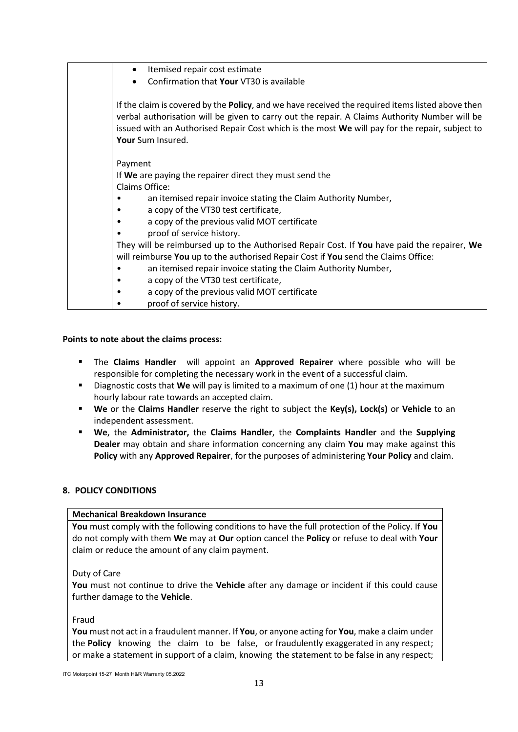| Itemised repair cost estimate<br>$\bullet$                                                                                                                                                                                                                                                                               |
|--------------------------------------------------------------------------------------------------------------------------------------------------------------------------------------------------------------------------------------------------------------------------------------------------------------------------|
| Confirmation that Your VT30 is available                                                                                                                                                                                                                                                                                 |
| If the claim is covered by the Policy, and we have received the required items listed above then<br>verbal authorisation will be given to carry out the repair. A Claims Authority Number will be<br>issued with an Authorised Repair Cost which is the most We will pay for the repair, subject to<br>Your Sum Insured. |
| Payment                                                                                                                                                                                                                                                                                                                  |
| If We are paying the repairer direct they must send the                                                                                                                                                                                                                                                                  |
| Claims Office:                                                                                                                                                                                                                                                                                                           |
| an itemised repair invoice stating the Claim Authority Number,                                                                                                                                                                                                                                                           |
| a copy of the VT30 test certificate,                                                                                                                                                                                                                                                                                     |
| a copy of the previous valid MOT certificate                                                                                                                                                                                                                                                                             |
| proof of service history.                                                                                                                                                                                                                                                                                                |
| They will be reimbursed up to the Authorised Repair Cost. If You have paid the repairer, We                                                                                                                                                                                                                              |
| will reimburse You up to the authorised Repair Cost if You send the Claims Office:                                                                                                                                                                                                                                       |
| an itemised repair invoice stating the Claim Authority Number,                                                                                                                                                                                                                                                           |
| a copy of the VT30 test certificate,                                                                                                                                                                                                                                                                                     |
| a copy of the previous valid MOT certificate<br>٠                                                                                                                                                                                                                                                                        |
| proof of service history.                                                                                                                                                                                                                                                                                                |

### **Points to note about the claims process:**

- The **Claims Handler** will appoint an **Approved Repairer** where possible who will be responsible for completing the necessary work in the event of a successful claim.
- Diagnostic costs that **We** will pay is limited to a maximum of one (1) hour at the maximum hourly labour rate towards an accepted claim.
- **We** or the **Claims Handler** reserve the right to subject the **Key(s), Lock(s)** or **Vehicle** to an independent assessment.
- **We**, the **Administrator,** the **Claims Handler**, the **Complaints Handler** and the **Supplying Dealer** may obtain and share information concerning any claim **You** may make against this **Policy** with any **Approved Repairer**, for the purposes of administering **Your Policy** and claim.

### **8. POLICY CONDITIONS**

### **Mechanical Breakdown Insurance**

**You** must comply with the following conditions to have the full protection of the Policy. If **You** do not comply with them **We** may at **Our** option cancel the **Policy** or refuse to deal with **Your** claim or reduce the amount of any claim payment.

### Duty of Care

**You** must not continue to drive the **Vehicle** after any damage or incident if this could cause further damage to the **Vehicle**.

#### Fraud

**You** must not act in a fraudulent manner. If **You**, or anyone acting for **You**, make a claim under the **Policy** knowing the claim to be false, or fraudulently exaggerated in any respect; or make a statement in support of a claim, knowing the statement to be false in any respect;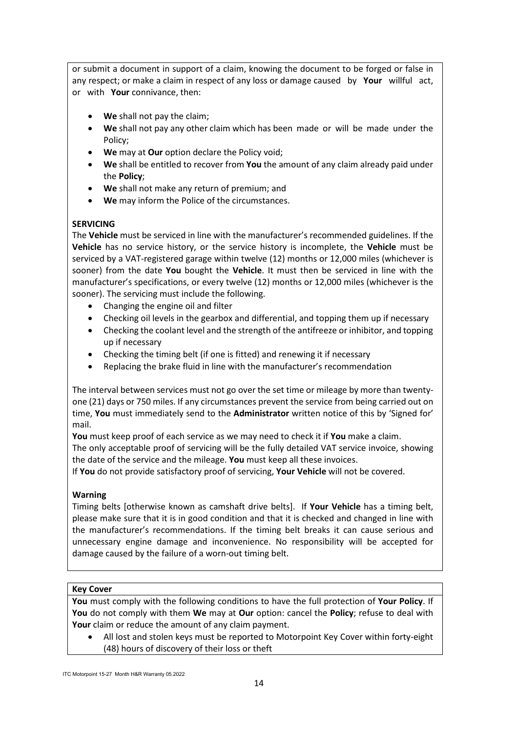or submit a document in support of a claim, knowing the document to be forged or false in any respect; or make a claim in respect of any loss or damage caused by **Your** willful act, or with **Your** connivance, then:

- **We** shall not pay the claim;
- **We** shall not pay any other claim which has been made or will be made under the Policy;
- **We** may at **Our** option declare the Policy void;
- **We** shall be entitled to recover from **You** the amount of any claim already paid under the **Policy**;
- **We** shall not make any return of premium; and
- **We** may inform the Police of the circumstances.

# **SERVICING**

The **Vehicle** must be serviced in line with the manufacturer's recommended guidelines. If the **Vehicle** has no service history, or the service history is incomplete, the **Vehicle** must be serviced by a VAT-registered garage within twelve (12) months or 12,000 miles (whichever is sooner) from the date **You** bought the **Vehicle**. It must then be serviced in line with the manufacturer's specifications, or every twelve (12) months or 12,000 miles (whichever is the sooner). The servicing must include the following.

- Changing the engine oil and filter
- Checking oil levels in the gearbox and differential, and topping them up if necessary
- Checking the coolant level and the strength of the antifreeze or inhibitor, and topping up if necessary
- Checking the timing belt (if one is fitted) and renewing it if necessary
- Replacing the brake fluid in line with the manufacturer's recommendation

The interval between services must not go over the set time or mileage by more than twentyone (21) days or 750 miles. If any circumstances prevent the service from being carried out on time, **You** must immediately send to the **Administrator** written notice of this by 'Signed for' mail.

**You** must keep proof of each service as we may need to check it if **You** make a claim.

The only acceptable proof of servicing will be the fully detailed VAT service invoice, showing the date of the service and the mileage. **You** must keep all these invoices.

If **You** do not provide satisfactory proof of servicing, **Your Vehicle** will not be covered.

# **Warning**

Timing belts [otherwise known as camshaft drive belts]. If **Your Vehicle** has a timing belt, please make sure that it is in good condition and that it is checked and changed in line with the manufacturer's recommendations. If the timing belt breaks it can cause serious and unnecessary engine damage and inconvenience. No responsibility will be accepted for damage caused by the failure of a worn-out timing belt.

# **Key Cover**

**You** must comply with the following conditions to have the full protection of **Your Policy**. If **You** do not comply with them **We** may at **Our** option: cancel the **Policy**; refuse to deal with **Your** claim or reduce the amount of any claim payment.

• All lost and stolen keys must be reported to Motorpoint Key Cover within forty-eight (48) hours of discovery of their loss or theft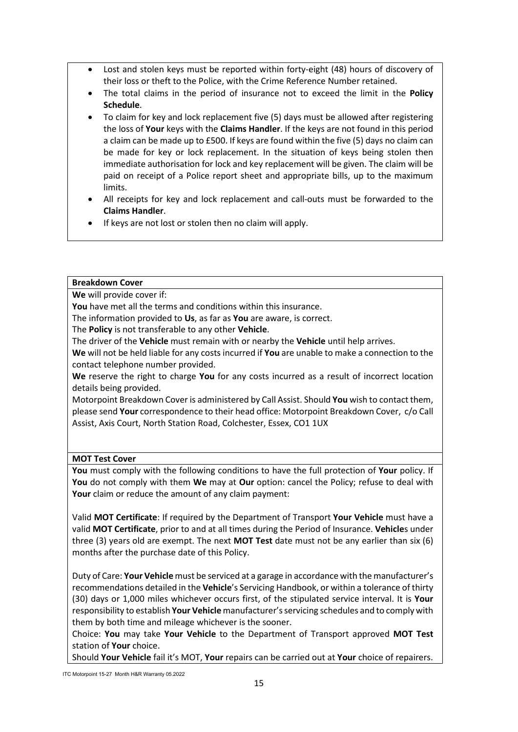- Lost and stolen keys must be reported within forty-eight (48) hours of discovery of their loss or theft to the Police, with the Crime Reference Number retained.
- The total claims in the period of insurance not to exceed the limit in the **Policy Schedule**.
- To claim for key and lock replacement five (5) days must be allowed after registering the loss of **Your** keys with the **Claims Handler**. If the keys are not found in this period a claim can be made up to £500. If keys are found within the five (5) days no claim can be made for key or lock replacement. In the situation of keys being stolen then immediate authorisation for lock and key replacement will be given. The claim will be paid on receipt of a Police report sheet and appropriate bills, up to the maximum limits.
- All receipts for key and lock replacement and call-outs must be forwarded to the **Claims Handler**.
- If keys are not lost or stolen then no claim will apply.

### **Breakdown Cover**

**We** will provide cover if:

**You** have met all the terms and conditions within this insurance.

The information provided to **Us**, as far as **You** are aware, is correct.

The **Policy** is not transferable to any other **Vehicle**.

The driver of the **Vehicle** must remain with or nearby the **Vehicle** until help arrives.

**We** will not be held liable for any costs incurred if **You** are unable to make a connection to the contact telephone number provided.

**We** reserve the right to charge **You** for any costs incurred as a result of incorrect location details being provided.

Motorpoint Breakdown Cover is administered by Call Assist. Should **You** wish to contact them, please send **Your** correspondence to their head office: Motorpoint Breakdown Cover, c/o Call Assist, Axis Court, North Station Road, Colchester, Essex, CO1 1UX

# **MOT Test Cover**

**You** must comply with the following conditions to have the full protection of **Your** policy. If **You** do not comply with them **We** may at **Our** option: cancel the Policy; refuse to deal with **Your** claim or reduce the amount of any claim payment:

Valid **MOT Certificate**: If required by the Department of Transport **Your Vehicle** must have a valid **MOT Certificate**, prior to and at all times during the Period of Insurance. **Vehicle**s under three (3) years old are exempt. The next **MOT Test** date must not be any earlier than six (6) months after the purchase date of this Policy.

Duty of Care: **Your Vehicle** must be serviced at a garage in accordance with the manufacturer's recommendations detailed in the **Vehicle**'s Servicing Handbook, or within a tolerance of thirty (30) days or 1,000 miles whichever occurs first, of the stipulated service interval. It is **Your** responsibility to establish **Your Vehicle** manufacturer's servicing schedules and to comply with them by both time and mileage whichever is the sooner.

Choice: **You** may take **Your Vehicle** to the Department of Transport approved **MOT Test** station of **Your** choice.

Should **Your Vehicle** fail it's MOT, **Your** repairs can be carried out at **Your** choice of repairers.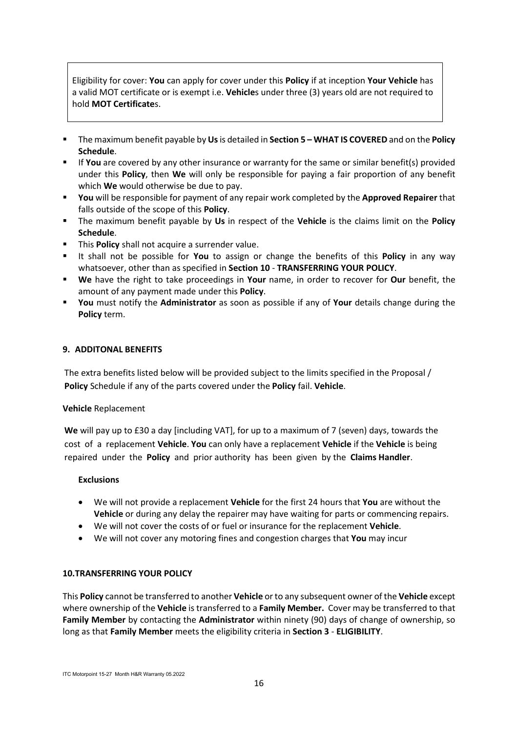Eligibility for cover: **You** can apply for cover under this **Policy** if at inception **Your Vehicle** has a valid MOT certificate or is exempt i.e. **Vehicle**s under three (3) years old are not required to hold **MOT Certificate**s.

- The maximum benefit payable by **Us**is detailed in **Section 5 – WHAT IS COVERED** and on the **Policy Schedule**.
- If **You** are covered by any other insurance or warranty for the same or similar benefit(s) provided under this **Policy**, then **We** will only be responsible for paying a fair proportion of any benefit which **We** would otherwise be due to pay.
- **You** will be responsible for payment of any repair work completed by the **Approved Repairer** that falls outside of the scope of this **Policy**.
- The maximum benefit payable by **Us** in respect of the **Vehicle** is the claims limit on the **Policy Schedule**.
- **This Policy** shall not acquire a surrender value.
- It shall not be possible for **You** to assign or change the benefits of this **Policy** in any way whatsoever, other than as specified in **Section 10** - **TRANSFERRING YOUR POLICY**.
- **We** have the right to take proceedings in **Your** name, in order to recover for **Our** benefit, the amount of any payment made under this **Policy**.
- **You** must notify the **Administrator** as soon as possible if any of **Your** details change during the **Policy** term.

### **9. ADDITONAL BENEFITS**

The extra benefits listed below will be provided subject to the limits specified in the Proposal / **Policy** Schedule if any of the parts covered under the **Policy** fail. **Vehicle**.

#### **Vehicle** Replacement

**We** will pay up to £30 a day [including VAT], for up to a maximum of 7 (seven) days, towards the cost of a replacement **Vehicle**. **You** can only have a replacement **Vehicle** if the **Vehicle** is being repaired under the **Policy** and prior authority has been given by the **Claims Handler**.

#### **Exclusions**

- We will not provide a replacement **Vehicle** for the first 24 hours that **You** are without the **Vehicle** or during any delay the repairer may have waiting for parts or commencing repairs.
- We will not cover the costs of or fuel or insurance for the replacement **Vehicle**.
- We will not cover any motoring fines and congestion charges that **You** may incur

### **10.TRANSFERRING YOUR POLICY**

This **Policy** cannot be transferred to another **Vehicle** or to any subsequent owner of the **Vehicle** except where ownership of the **Vehicle** is transferred to a **Family Member.** Cover may be transferred to that **Family Member** by contacting the **Administrator** within ninety (90) days of change of ownership, so long as that **Family Member** meets the eligibility criteria in **Section 3** - **ELIGIBILITY**.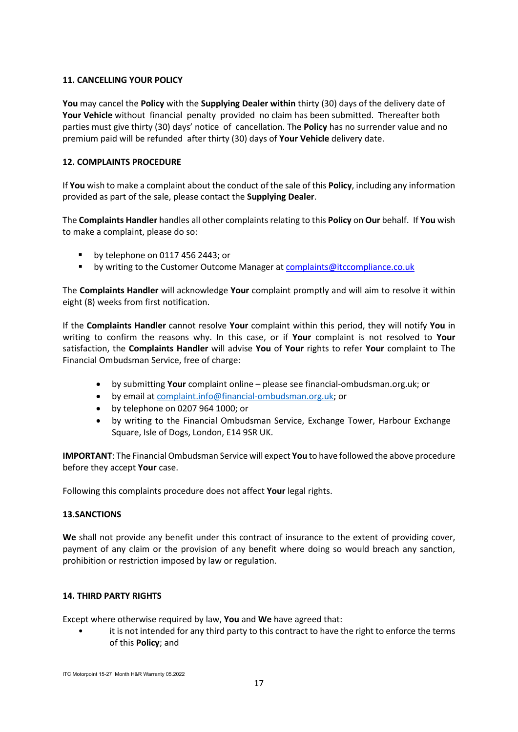### **11. CANCELLING YOUR POLICY**

**You** may cancel the **Policy** with the **Supplying Dealer within** thirty (30) days of the delivery date of **Your Vehicle** without financial penalty provided no claim has been submitted. Thereafter both parties must give thirty (30) days' notice of cancellation. The **Policy** has no surrender value and no premium paid will be refunded after thirty (30) days of **Your Vehicle** delivery date.

### **12. COMPLAINTS PROCEDURE**

If **You** wish to make a complaint about the conduct of the sale of this **Policy**, including any information provided as part of the sale, please contact the **Supplying Dealer**.

The **Complaints Handler** handles all other complaints relating to this **Policy** on **Our** behalf. If **You** wish to make a complaint, please do so:

- by telephone on 0117 456 2443; or
- **by writing to the Customer Outcome Manager a[t complaints@itccompliance.co.uk](mailto:complaints@itccompliance.co.uk)**

The **Complaints Handler** will acknowledge **Your** complaint promptly and will aim to resolve it within eight (8) weeks from first notification.

If the **Complaints Handler** cannot resolve **Your** complaint within this period, they will notify **You** in writing to confirm the reasons why. In this case, or if **Your** complaint is not resolved to **Your** satisfaction, the **Complaints Handler** will advise **You** of **Your** rights to refer **Your** complaint to The Financial Ombudsman Service, free of charge:

- by submitting **Your** complaint online please see financial-ombudsman.org.uk; or
- by email at [complaint.info@financial-ombudsman.org.uk;](mailto:complaint.info@financial-ombudsman.org.uk) or
- by telephone on 0207 964 1000; or
- by writing to the Financial Ombudsman Service, Exchange Tower, Harbour Exchange Square, Isle of Dogs, London, E14 9SR UK.

**IMPORTANT**: The Financial Ombudsman Service will expect **You** to have followed the above procedure before they accept **Your** case.

Following this complaints procedure does not affect **Your** legal rights.

### **13.SANCTIONS**

**We** shall not provide any benefit under this contract of insurance to the extent of providing cover, payment of any claim or the provision of any benefit where doing so would breach any sanction, prohibition or restriction imposed by law or regulation.

### **14. THIRD PARTY RIGHTS**

Except where otherwise required by law, **You** and **We** have agreed that:

it is not intended for any third party to this contract to have the right to enforce the terms of this **Policy**; and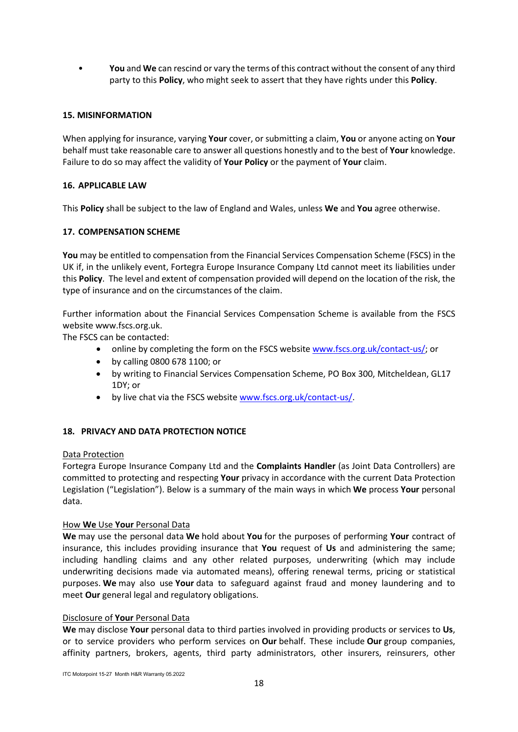• **You** and **We** can rescind or vary the terms of this contract without the consent of any third party to this **Policy**, who might seek to assert that they have rights under this **Policy**.

### **15. MISINFORMATION**

When applying for insurance, varying **Your** cover, or submitting a claim, **You** or anyone acting on **Your** behalf must take reasonable care to answer all questions honestly and to the best of **Your** knowledge. Failure to do so may affect the validity of **Your Policy** or the payment of **Your** claim.

### **16. APPLICABLE LAW**

This **Policy** shall be subject to the law of England and Wales, unless **We** and **You** agree otherwise.

### **17. COMPENSATION SCHEME**

**You** may be entitled to compensation from the Financial Services Compensation Scheme (FSCS) in the UK if, in the unlikely event, Fortegra Europe Insurance Company Ltd cannot meet its liabilities under this **Policy**. The level and extent of compensation provided will depend on the location of the risk, the type of insurance and on the circumstances of the claim.

Further information about the Financial Services Compensation Scheme is available from the FSCS website www.fscs.org.uk.

The FSCS can be contacted:

- online by completing the form on the FSCS website [www.fscs.org.uk/contact-us/;](http://www.fscs.org.uk/contact-us/) or
- by calling 0800 678 1100; or
- by writing to Financial Services Compensation Scheme, PO Box 300, Mitcheldean, GL17 1DY; or
- by live chat via the FSCS website [www.fscs.org.uk/contact-us/.](http://www.fscs.org.uk/contact-us/)

# **18. PRIVACY AND DATA PROTECTION NOTICE**

### Data Protection

Fortegra Europe Insurance Company Ltd and the **Complaints Handler** (as Joint Data Controllers) are committed to protecting and respecting **Your** privacy in accordance with the current Data Protection Legislation ("Legislation"). Below is a summary of the main ways in which **We** process **Your** personal data.

### How **We** Use **Your** Personal Data

**We** may use the personal data **We** hold about **You** for the purposes of performing **Your** contract of insurance, this includes providing insurance that **You** request of **Us** and administering the same; including handling claims and any other related purposes, underwriting (which may include underwriting decisions made via automated means), offering renewal terms, pricing or statistical purposes. **We** may also use **Your** data to safeguard against fraud and money laundering and to meet **Our** general legal and regulatory obligations.

### Disclosure of **Your** Personal Data

**We** may disclose **Your** personal data to third parties involved in providing products or services to **Us**, or to service providers who perform services on **Our** behalf. These include **Our** group companies, affinity partners, brokers, agents, third party administrators, other insurers, reinsurers, other